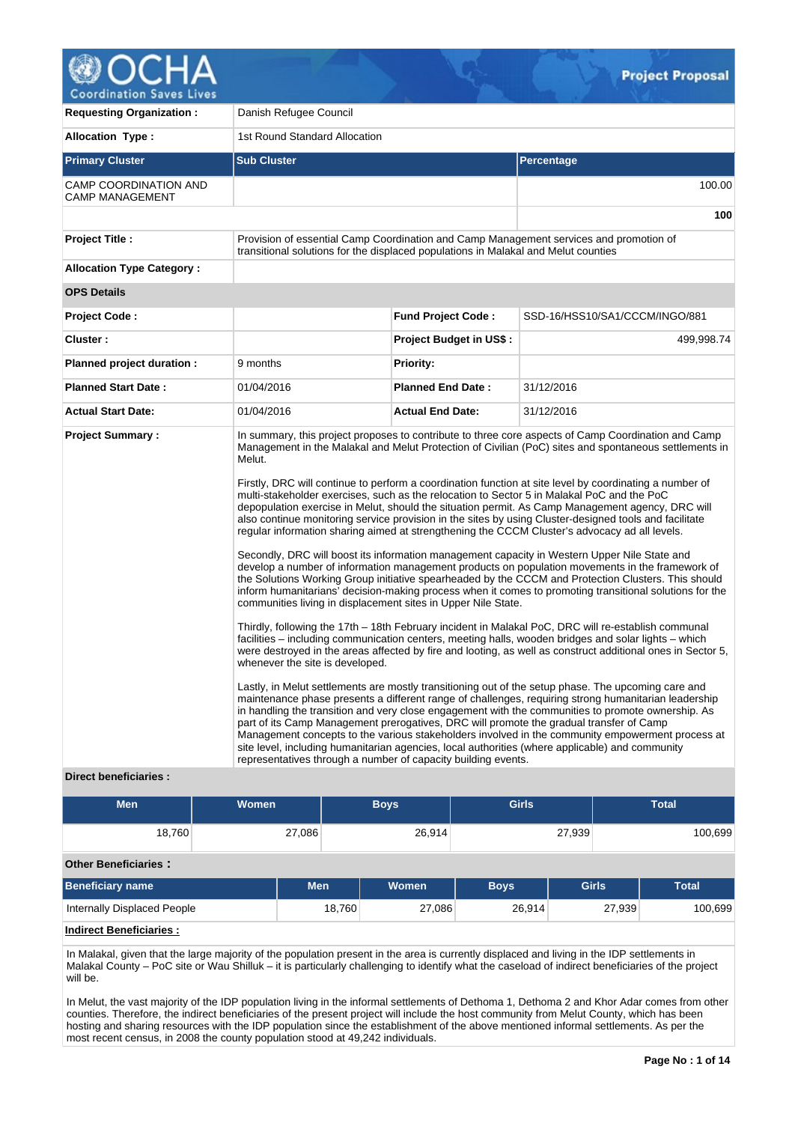

| <b>Requesting Organization:</b>                 | Danish Refugee Council                                                                                                                                                                                                                                                 |                                |                                                                                                                                                                                                                                                                                                                                                                                                                                                                                                                                                                                                                                                                                                                                                                                                                                                                                                                                                                                                                                                                                                                                                                                                                                                                                                                                                                                                                                                                                                                                                                                                                                                                                                                                                                                                                                                                                                                                                                                                                     |  |  |  |  |  |
|-------------------------------------------------|------------------------------------------------------------------------------------------------------------------------------------------------------------------------------------------------------------------------------------------------------------------------|--------------------------------|---------------------------------------------------------------------------------------------------------------------------------------------------------------------------------------------------------------------------------------------------------------------------------------------------------------------------------------------------------------------------------------------------------------------------------------------------------------------------------------------------------------------------------------------------------------------------------------------------------------------------------------------------------------------------------------------------------------------------------------------------------------------------------------------------------------------------------------------------------------------------------------------------------------------------------------------------------------------------------------------------------------------------------------------------------------------------------------------------------------------------------------------------------------------------------------------------------------------------------------------------------------------------------------------------------------------------------------------------------------------------------------------------------------------------------------------------------------------------------------------------------------------------------------------------------------------------------------------------------------------------------------------------------------------------------------------------------------------------------------------------------------------------------------------------------------------------------------------------------------------------------------------------------------------------------------------------------------------------------------------------------------------|--|--|--|--|--|
| Allocation Type:                                | 1st Round Standard Allocation                                                                                                                                                                                                                                          |                                |                                                                                                                                                                                                                                                                                                                                                                                                                                                                                                                                                                                                                                                                                                                                                                                                                                                                                                                                                                                                                                                                                                                                                                                                                                                                                                                                                                                                                                                                                                                                                                                                                                                                                                                                                                                                                                                                                                                                                                                                                     |  |  |  |  |  |
| <b>Primary Cluster</b>                          | <b>Sub Cluster</b>                                                                                                                                                                                                                                                     |                                | Percentage                                                                                                                                                                                                                                                                                                                                                                                                                                                                                                                                                                                                                                                                                                                                                                                                                                                                                                                                                                                                                                                                                                                                                                                                                                                                                                                                                                                                                                                                                                                                                                                                                                                                                                                                                                                                                                                                                                                                                                                                          |  |  |  |  |  |
| CAMP COORDINATION AND<br><b>CAMP MANAGEMENT</b> |                                                                                                                                                                                                                                                                        |                                | 100.00                                                                                                                                                                                                                                                                                                                                                                                                                                                                                                                                                                                                                                                                                                                                                                                                                                                                                                                                                                                                                                                                                                                                                                                                                                                                                                                                                                                                                                                                                                                                                                                                                                                                                                                                                                                                                                                                                                                                                                                                              |  |  |  |  |  |
|                                                 |                                                                                                                                                                                                                                                                        |                                | 100                                                                                                                                                                                                                                                                                                                                                                                                                                                                                                                                                                                                                                                                                                                                                                                                                                                                                                                                                                                                                                                                                                                                                                                                                                                                                                                                                                                                                                                                                                                                                                                                                                                                                                                                                                                                                                                                                                                                                                                                                 |  |  |  |  |  |
| <b>Project Title:</b>                           | Provision of essential Camp Coordination and Camp Management services and promotion of<br>transitional solutions for the displaced populations in Malakal and Melut counties                                                                                           |                                |                                                                                                                                                                                                                                                                                                                                                                                                                                                                                                                                                                                                                                                                                                                                                                                                                                                                                                                                                                                                                                                                                                                                                                                                                                                                                                                                                                                                                                                                                                                                                                                                                                                                                                                                                                                                                                                                                                                                                                                                                     |  |  |  |  |  |
| <b>Allocation Type Category:</b>                |                                                                                                                                                                                                                                                                        |                                |                                                                                                                                                                                                                                                                                                                                                                                                                                                                                                                                                                                                                                                                                                                                                                                                                                                                                                                                                                                                                                                                                                                                                                                                                                                                                                                                                                                                                                                                                                                                                                                                                                                                                                                                                                                                                                                                                                                                                                                                                     |  |  |  |  |  |
| <b>OPS Details</b>                              |                                                                                                                                                                                                                                                                        |                                |                                                                                                                                                                                                                                                                                                                                                                                                                                                                                                                                                                                                                                                                                                                                                                                                                                                                                                                                                                                                                                                                                                                                                                                                                                                                                                                                                                                                                                                                                                                                                                                                                                                                                                                                                                                                                                                                                                                                                                                                                     |  |  |  |  |  |
| <b>Project Code:</b>                            |                                                                                                                                                                                                                                                                        | <b>Fund Project Code:</b>      | SSD-16/HSS10/SA1/CCCM/INGO/881                                                                                                                                                                                                                                                                                                                                                                                                                                                                                                                                                                                                                                                                                                                                                                                                                                                                                                                                                                                                                                                                                                                                                                                                                                                                                                                                                                                                                                                                                                                                                                                                                                                                                                                                                                                                                                                                                                                                                                                      |  |  |  |  |  |
| Cluster:                                        |                                                                                                                                                                                                                                                                        | <b>Project Budget in US\$:</b> | 499,998.74                                                                                                                                                                                                                                                                                                                                                                                                                                                                                                                                                                                                                                                                                                                                                                                                                                                                                                                                                                                                                                                                                                                                                                                                                                                                                                                                                                                                                                                                                                                                                                                                                                                                                                                                                                                                                                                                                                                                                                                                          |  |  |  |  |  |
| Planned project duration :                      | 9 months                                                                                                                                                                                                                                                               | <b>Priority:</b>               |                                                                                                                                                                                                                                                                                                                                                                                                                                                                                                                                                                                                                                                                                                                                                                                                                                                                                                                                                                                                                                                                                                                                                                                                                                                                                                                                                                                                                                                                                                                                                                                                                                                                                                                                                                                                                                                                                                                                                                                                                     |  |  |  |  |  |
| <b>Planned Start Date:</b>                      | 01/04/2016                                                                                                                                                                                                                                                             | <b>Planned End Date:</b>       | 31/12/2016                                                                                                                                                                                                                                                                                                                                                                                                                                                                                                                                                                                                                                                                                                                                                                                                                                                                                                                                                                                                                                                                                                                                                                                                                                                                                                                                                                                                                                                                                                                                                                                                                                                                                                                                                                                                                                                                                                                                                                                                          |  |  |  |  |  |
| <b>Actual Start Date:</b>                       | 01/04/2016                                                                                                                                                                                                                                                             | <b>Actual End Date:</b>        | 31/12/2016                                                                                                                                                                                                                                                                                                                                                                                                                                                                                                                                                                                                                                                                                                                                                                                                                                                                                                                                                                                                                                                                                                                                                                                                                                                                                                                                                                                                                                                                                                                                                                                                                                                                                                                                                                                                                                                                                                                                                                                                          |  |  |  |  |  |
| <b>Project Summary:</b>                         | Melut.<br>communities living in displacement sites in Upper Nile State.<br>whenever the site is developed.<br>part of its Camp Management prerogatives, DRC will promote the gradual transfer of Camp<br>representatives through a number of capacity building events. |                                | In summary, this project proposes to contribute to three core aspects of Camp Coordination and Camp<br>Management in the Malakal and Melut Protection of Civilian (PoC) sites and spontaneous settlements in<br>Firstly, DRC will continue to perform a coordination function at site level by coordinating a number of<br>multi-stakeholder exercises, such as the relocation to Sector 5 in Malakal PoC and the PoC<br>depopulation exercise in Melut, should the situation permit. As Camp Management agency, DRC will<br>also continue monitoring service provision in the sites by using Cluster-designed tools and facilitate<br>regular information sharing aimed at strengthening the CCCM Cluster's advocacy ad all levels.<br>Secondly, DRC will boost its information management capacity in Western Upper Nile State and<br>develop a number of information management products on population movements in the framework of<br>the Solutions Working Group initiative spearheaded by the CCCM and Protection Clusters. This should<br>inform humanitarians' decision-making process when it comes to promoting transitional solutions for the<br>Thirdly, following the 17th – 18th February incident in Malakal PoC, DRC will re-establish communal<br>facilities – including communication centers, meeting halls, wooden bridges and solar lights – which<br>were destroyed in the areas affected by fire and looting, as well as construct additional ones in Sector 5,<br>Lastly, in Melut settlements are mostly transitioning out of the setup phase. The upcoming care and<br>maintenance phase presents a different range of challenges, requiring strong humanitarian leadership<br>in handling the transition and very close engagement with the communities to promote ownership. As<br>Management concepts to the various stakeholders involved in the community empowerment process at<br>site level, including humanitarian agencies, local authorities (where applicable) and community |  |  |  |  |  |

# **Direct beneficiaries :**

| <b>Men</b>                         | <b>Women</b> |        | <b>Boys</b> | <b>Girls</b> |              | <b>Total</b> |
|------------------------------------|--------------|--------|-------------|--------------|--------------|--------------|
| 18,760                             | 27,086       |        | 26,914      |              | 27,939       | 100,699      |
| <b>Other Beneficiaries:</b>        |              |        |             |              |              |              |
| <b>Beneficiary name</b>            | <b>Men</b>   |        | Women       | <b>Boys</b>  | <b>Girls</b> | <b>Total</b> |
| <b>Internally Displaced People</b> |              | 18,760 | 27,086      | 26,914       | 27,939       | 100,699      |
| <b>Indirect Beneficiaries:</b>     |              |        |             |              |              |              |

In Malakal, given that the large majority of the population present in the area is currently displaced and living in the IDP settlements in Malakal County – PoC site or Wau Shilluk – it is particularly challenging to identify what the caseload of indirect beneficiaries of the project will be.

In Melut, the vast majority of the IDP population living in the informal settlements of Dethoma 1, Dethoma 2 and Khor Adar comes from other counties. Therefore, the indirect beneficiaries of the present project will include the host community from Melut County, which has been hosting and sharing resources with the IDP population since the establishment of the above mentioned informal settlements. As per the most recent census, in 2008 the county population stood at 49,242 individuals.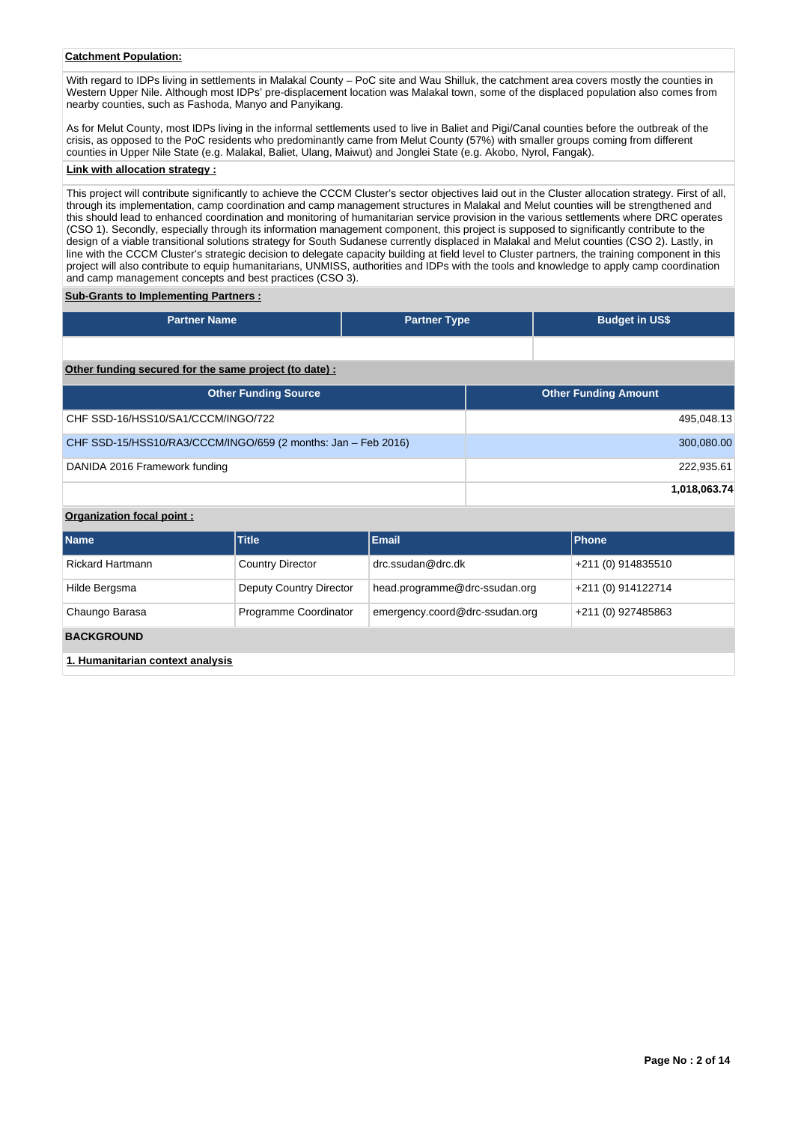# **Catchment Population:**

With regard to IDPs living in settlements in Malakal County - PoC site and Wau Shilluk, the catchment area covers mostly the counties in Western Upper Nile. Although most IDPs' pre-displacement location was Malakal town, some of the displaced population also comes from nearby counties, such as Fashoda, Manyo and Panyikang.

As for Melut County, most IDPs living in the informal settlements used to live in Baliet and Pigi/Canal counties before the outbreak of the crisis, as opposed to the PoC residents who predominantly came from Melut County (57%) with smaller groups coming from different counties in Upper Nile State (e.g. Malakal, Baliet, Ulang, Maiwut) and Jonglei State (e.g. Akobo, Nyrol, Fangak).

# **Link with allocation strategy :**

This project will contribute significantly to achieve the CCCM Cluster's sector objectives laid out in the Cluster allocation strategy. First of all, through its implementation, camp coordination and camp management structures in Malakal and Melut counties will be strengthened and this should lead to enhanced coordination and monitoring of humanitarian service provision in the various settlements where DRC operates (CSO 1). Secondly, especially through its information management component, this project is supposed to significantly contribute to the design of a viable transitional solutions strategy for South Sudanese currently displaced in Malakal and Melut counties (CSO 2). Lastly, in line with the CCCM Cluster's strategic decision to delegate capacity building at field level to Cluster partners, the training component in this project will also contribute to equip humanitarians, UNMISS, authorities and IDPs with the tools and knowledge to apply camp coordination and camp management concepts and best practices (CSO 3).

#### **Sub-Grants to Implementing Partners :**

| <b>Partner Name</b>                                           | <b>Partner Type</b> | <b>Budget in US\$</b>       |
|---------------------------------------------------------------|---------------------|-----------------------------|
|                                                               |                     |                             |
| Other funding secured for the same project (to date):         |                     |                             |
| <b>Other Funding Source</b>                                   |                     | <b>Other Funding Amount</b> |
| CHF SSD-16/HSS10/SA1/CCCM/INGO/722                            |                     | 495,048.13                  |
| CHF SSD-15/HSS10/RA3/CCCM/INGO/659 (2 months: Jan - Feb 2016) |                     | 300,080.00                  |
| DANIDA 2016 Framework funding                                 |                     | 222,935.61                  |
|                                                               |                     | 1,018,063.74                |

# **Organization focal point :**

| <b>Name</b>                      | <b>Title</b>            | <b>Email</b>                   | <b>Phone</b>       |
|----------------------------------|-------------------------|--------------------------------|--------------------|
| <b>Rickard Hartmann</b>          | <b>Country Director</b> | $drc$ .ssudan@drc.dk           | +211 (0) 914835510 |
| Hilde Bergsma                    | Deputy Country Director | head.programme@drc-ssudan.org  | +211 (0) 914122714 |
| Chaungo Barasa                   | Programme Coordinator   | emergency.coord@drc-ssudan.org | +211 (0) 927485863 |
| <b>BACKGROUND</b>                |                         |                                |                    |
| 1. Humanitarian context analysis |                         |                                |                    |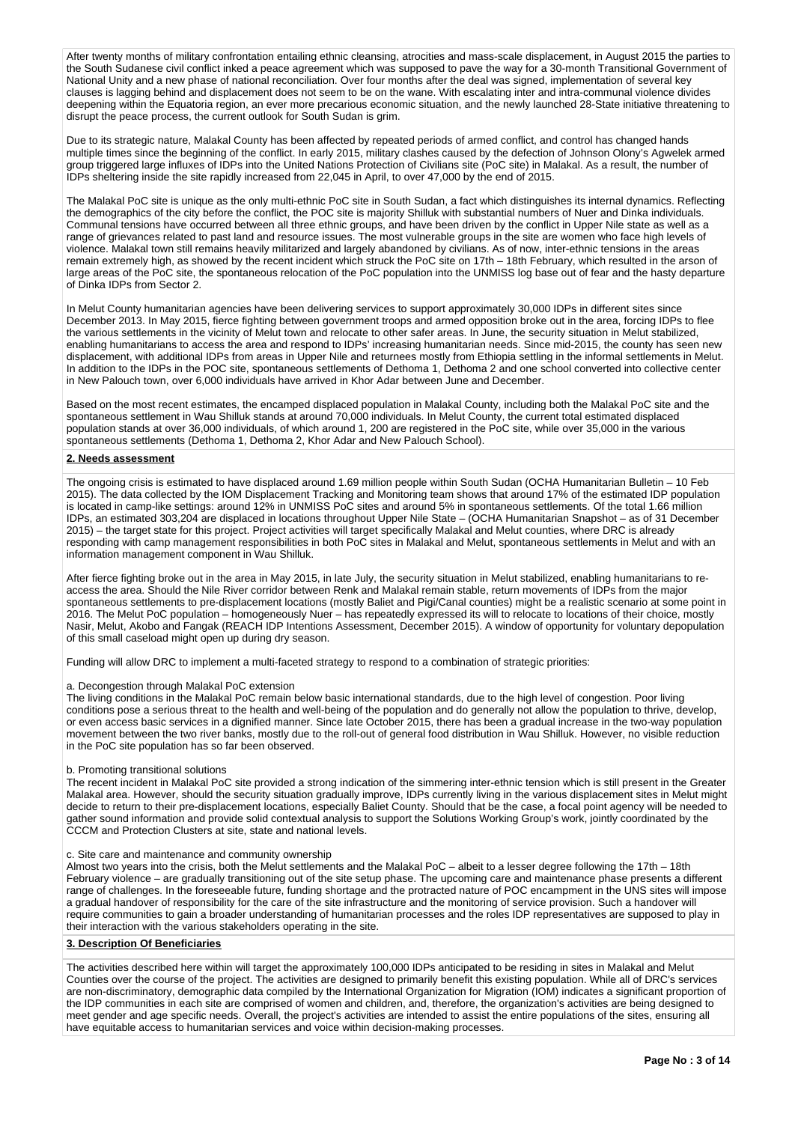After twenty months of military confrontation entailing ethnic cleansing, atrocities and mass-scale displacement, in August 2015 the parties to the South Sudanese civil conflict inked a peace agreement which was supposed to pave the way for a 30-month Transitional Government of National Unity and a new phase of national reconciliation. Over four months after the deal was signed, implementation of several key clauses is lagging behind and displacement does not seem to be on the wane. With escalating inter and intra-communal violence divides deepening within the Equatoria region, an ever more precarious economic situation, and the newly launched 28-State initiative threatening to disrupt the peace process, the current outlook for South Sudan is grim.

Due to its strategic nature, Malakal County has been affected by repeated periods of armed conflict, and control has changed hands multiple times since the beginning of the conflict. In early 2015, military clashes caused by the defection of Johnson Olony's Agwelek armed group triggered large influxes of IDPs into the United Nations Protection of Civilians site (PoC site) in Malakal. As a result, the number of IDPs sheltering inside the site rapidly increased from 22,045 in April, to over 47,000 by the end of 2015.

The Malakal PoC site is unique as the only multi-ethnic PoC site in South Sudan, a fact which distinguishes its internal dynamics. Reflecting the demographics of the city before the conflict, the POC site is majority Shilluk with substantial numbers of Nuer and Dinka individuals. Communal tensions have occurred between all three ethnic groups, and have been driven by the conflict in Upper Nile state as well as a range of grievances related to past land and resource issues. The most vulnerable groups in the site are women who face high levels of violence. Malakal town still remains heavily militarized and largely abandoned by civilians. As of now, inter-ethnic tensions in the areas remain extremely high, as showed by the recent incident which struck the PoC site on 17th – 18th February, which resulted in the arson of large areas of the PoC site, the spontaneous relocation of the PoC population into the UNMISS log base out of fear and the hasty departure of Dinka IDPs from Sector 2.

In Melut County humanitarian agencies have been delivering services to support approximately 30,000 IDPs in different sites since December 2013. In May 2015, fierce fighting between government troops and armed opposition broke out in the area, forcing IDPs to flee the various settlements in the vicinity of Melut town and relocate to other safer areas. In June, the security situation in Melut stabilized, enabling humanitarians to access the area and respond to IDPs' increasing humanitarian needs. Since mid-2015, the county has seen new displacement, with additional IDPs from areas in Upper Nile and returnees mostly from Ethiopia settling in the informal settlements in Melut. In addition to the IDPs in the POC site, spontaneous settlements of Dethoma 1, Dethoma 2 and one school converted into collective center in New Palouch town, over 6,000 individuals have arrived in Khor Adar between June and December.

Based on the most recent estimates, the encamped displaced population in Malakal County, including both the Malakal PoC site and the spontaneous settlement in Wau Shilluk stands at around 70,000 individuals. In Melut County, the current total estimated displaced population stands at over 36,000 individuals, of which around 1, 200 are registered in the PoC site, while over 35,000 in the various spontaneous settlements (Dethoma 1, Dethoma 2, Khor Adar and New Palouch School).

#### **2. Needs assessment**

The ongoing crisis is estimated to have displaced around 1.69 million people within South Sudan (OCHA Humanitarian Bulletin – 10 Feb 2015). The data collected by the IOM Displacement Tracking and Monitoring team shows that around 17% of the estimated IDP population is located in camp-like settings: around 12% in UNMISS PoC sites and around 5% in spontaneous settlements. Of the total 1.66 million IDPs, an estimated 303,204 are displaced in locations throughout Upper Nile State – (OCHA Humanitarian Snapshot – as of 31 December 2015) – the target state for this project. Project activities will target specifically Malakal and Melut counties, where DRC is already responding with camp management responsibilities in both PoC sites in Malakal and Melut, spontaneous settlements in Melut and with an information management component in Wau Shilluk.

After fierce fighting broke out in the area in May 2015, in late July, the security situation in Melut stabilized, enabling humanitarians to reaccess the area. Should the Nile River corridor between Renk and Malakal remain stable, return movements of IDPs from the major spontaneous settlements to pre-displacement locations (mostly Baliet and Pigi/Canal counties) might be a realistic scenario at some point in 2016. The Melut PoC population – homogeneously Nuer – has repeatedly expressed its will to relocate to locations of their choice, mostly Nasir, Melut, Akobo and Fangak (REACH IDP Intentions Assessment, December 2015). A window of opportunity for voluntary depopulation of this small caseload might open up during dry season.

Funding will allow DRC to implement a multi-faceted strategy to respond to a combination of strategic priorities:

# a. Decongestion through Malakal PoC extension

The living conditions in the Malakal PoC remain below basic international standards, due to the high level of congestion. Poor living conditions pose a serious threat to the health and well-being of the population and do generally not allow the population to thrive, develop, or even access basic services in a dignified manner. Since late October 2015, there has been a gradual increase in the two-way population movement between the two river banks, mostly due to the roll-out of general food distribution in Wau Shilluk. However, no visible reduction in the PoC site population has so far been observed.

#### b. Promoting transitional solutions

The recent incident in Malakal PoC site provided a strong indication of the simmering inter-ethnic tension which is still present in the Greater Malakal area. However, should the security situation gradually improve, IDPs currently living in the various displacement sites in Melut might decide to return to their pre-displacement locations, especially Baliet County. Should that be the case, a focal point agency will be needed to gather sound information and provide solid contextual analysis to support the Solutions Working Group's work, jointly coordinated by the CCCM and Protection Clusters at site, state and national levels.

#### c. Site care and maintenance and community ownership

Almost two years into the crisis, both the Melut settlements and the Malakal PoC – albeit to a lesser degree following the 17th – 18th February violence – are gradually transitioning out of the site setup phase. The upcoming care and maintenance phase presents a different range of challenges. In the foreseeable future, funding shortage and the protracted nature of POC encampment in the UNS sites will impose a gradual handover of responsibility for the care of the site infrastructure and the monitoring of service provision. Such a handover will require communities to gain a broader understanding of humanitarian processes and the roles IDP representatives are supposed to play in their interaction with the various stakeholders operating in the site.

## **3. Description Of Beneficiaries**

The activities described here within will target the approximately 100,000 IDPs anticipated to be residing in sites in Malakal and Melut Counties over the course of the project. The activities are designed to primarily benefit this existing population. While all of DRC's services are non-discriminatory, demographic data compiled by the International Organization for Migration (IOM) indicates a significant proportion of the IDP communities in each site are comprised of women and children, and, therefore, the organization's activities are being designed to meet gender and age specific needs. Overall, the project's activities are intended to assist the entire populations of the sites, ensuring all have equitable access to humanitarian services and voice within decision-making processes.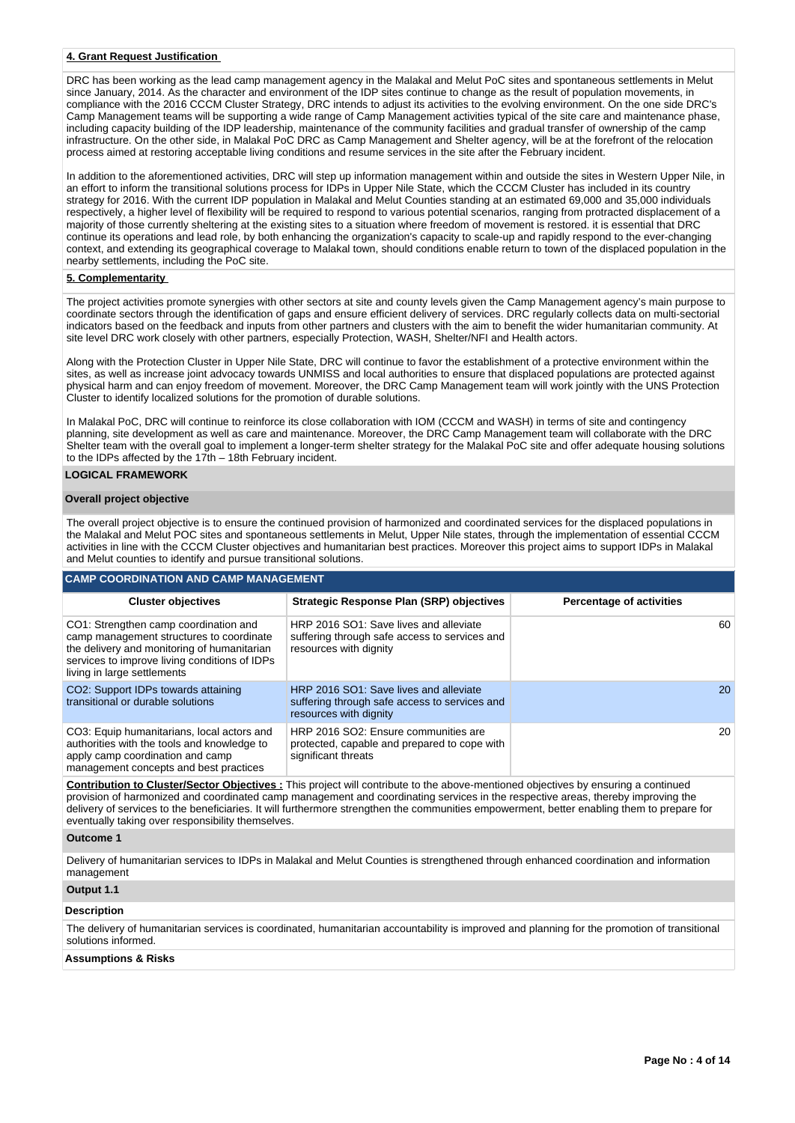## **4. Grant Request Justification**

DRC has been working as the lead camp management agency in the Malakal and Melut PoC sites and spontaneous settlements in Melut since January, 2014. As the character and environment of the IDP sites continue to change as the result of population movements, in compliance with the 2016 CCCM Cluster Strategy, DRC intends to adjust its activities to the evolving environment. On the one side DRC's Camp Management teams will be supporting a wide range of Camp Management activities typical of the site care and maintenance phase, including capacity building of the IDP leadership, maintenance of the community facilities and gradual transfer of ownership of the camp infrastructure. On the other side, in Malakal PoC DRC as Camp Management and Shelter agency, will be at the forefront of the relocation process aimed at restoring acceptable living conditions and resume services in the site after the February incident.

In addition to the aforementioned activities, DRC will step up information management within and outside the sites in Western Upper Nile, in an effort to inform the transitional solutions process for IDPs in Upper Nile State, which the CCCM Cluster has included in its country strategy for 2016. With the current IDP population in Malakal and Melut Counties standing at an estimated 69,000 and 35,000 individuals respectively, a higher level of flexibility will be required to respond to various potential scenarios, ranging from protracted displacement of a majority of those currently sheltering at the existing sites to a situation where freedom of movement is restored. it is essential that DRC continue its operations and lead role, by both enhancing the organization's capacity to scale-up and rapidly respond to the ever-changing context, and extending its geographical coverage to Malakal town, should conditions enable return to town of the displaced population in the nearby settlements, including the PoC site.

# **5. Complementarity**

The project activities promote synergies with other sectors at site and county levels given the Camp Management agency's main purpose to coordinate sectors through the identification of gaps and ensure efficient delivery of services. DRC regularly collects data on multi-sectorial indicators based on the feedback and inputs from other partners and clusters with the aim to benefit the wider humanitarian community. At site level DRC work closely with other partners, especially Protection, WASH, Shelter/NFI and Health actors.

Along with the Protection Cluster in Upper Nile State, DRC will continue to favor the establishment of a protective environment within the sites, as well as increase joint advocacy towards UNMISS and local authorities to ensure that displaced populations are protected against physical harm and can enjoy freedom of movement. Moreover, the DRC Camp Management team will work jointly with the UNS Protection Cluster to identify localized solutions for the promotion of durable solutions.

In Malakal PoC, DRC will continue to reinforce its close collaboration with IOM (CCCM and WASH) in terms of site and contingency planning, site development as well as care and maintenance. Moreover, the DRC Camp Management team will collaborate with the DRC Shelter team with the overall goal to implement a longer-term shelter strategy for the Malakal PoC site and offer adequate housing solutions to the IDPs affected by the 17th – 18th February incident.

# **LOGICAL FRAMEWORK**

#### **Overall project objective**

The overall project objective is to ensure the continued provision of harmonized and coordinated services for the displaced populations in the Malakal and Melut POC sites and spontaneous settlements in Melut, Upper Nile states, through the implementation of essential CCCM activities in line with the CCCM Cluster objectives and humanitarian best practices. Moreover this project aims to support IDPs in Malakal and Melut counties to identify and pursue transitional solutions.

## **CAMP COORDINATION AND CAMP MANAGEMENT**

| <b>Cluster objectives</b>                                                                                                                                                                                        | <b>Strategic Response Plan (SRP) objectives</b>                                                                   | <b>Percentage of activities</b> |
|------------------------------------------------------------------------------------------------------------------------------------------------------------------------------------------------------------------|-------------------------------------------------------------------------------------------------------------------|---------------------------------|
| CO1: Strengthen camp coordination and<br>camp management structures to coordinate<br>the delivery and monitoring of humanitarian<br>services to improve living conditions of IDPs<br>living in large settlements | HRP 2016 SO1: Save lives and alleviate<br>suffering through safe access to services and<br>resources with dignity | 60                              |
| CO2: Support IDPs towards attaining<br>transitional or durable solutions                                                                                                                                         | HRP 2016 SO1: Save lives and alleviate<br>suffering through safe access to services and<br>resources with dignity | 20                              |
| CO3: Equip humanitarians, local actors and<br>authorities with the tools and knowledge to<br>apply camp coordination and camp<br>management concepts and best practices                                          | HRP 2016 SO2: Ensure communities are<br>protected, capable and prepared to cope with<br>significant threats       | 20                              |

**Contribution to Cluster/Sector Objectives :** This project will contribute to the above-mentioned objectives by ensuring a continued provision of harmonized and coordinated camp management and coordinating services in the respective areas, thereby improving the delivery of services to the beneficiaries. It will furthermore strengthen the communities empowerment, better enabling them to prepare for eventually taking over responsibility themselves.

#### **Outcome 1**

Delivery of humanitarian services to IDPs in Malakal and Melut Counties is strengthened through enhanced coordination and information management

# **Output 1.1**

# **Description**

The delivery of humanitarian services is coordinated, humanitarian accountability is improved and planning for the promotion of transitional solutions informed.

#### **Assumptions & Risks**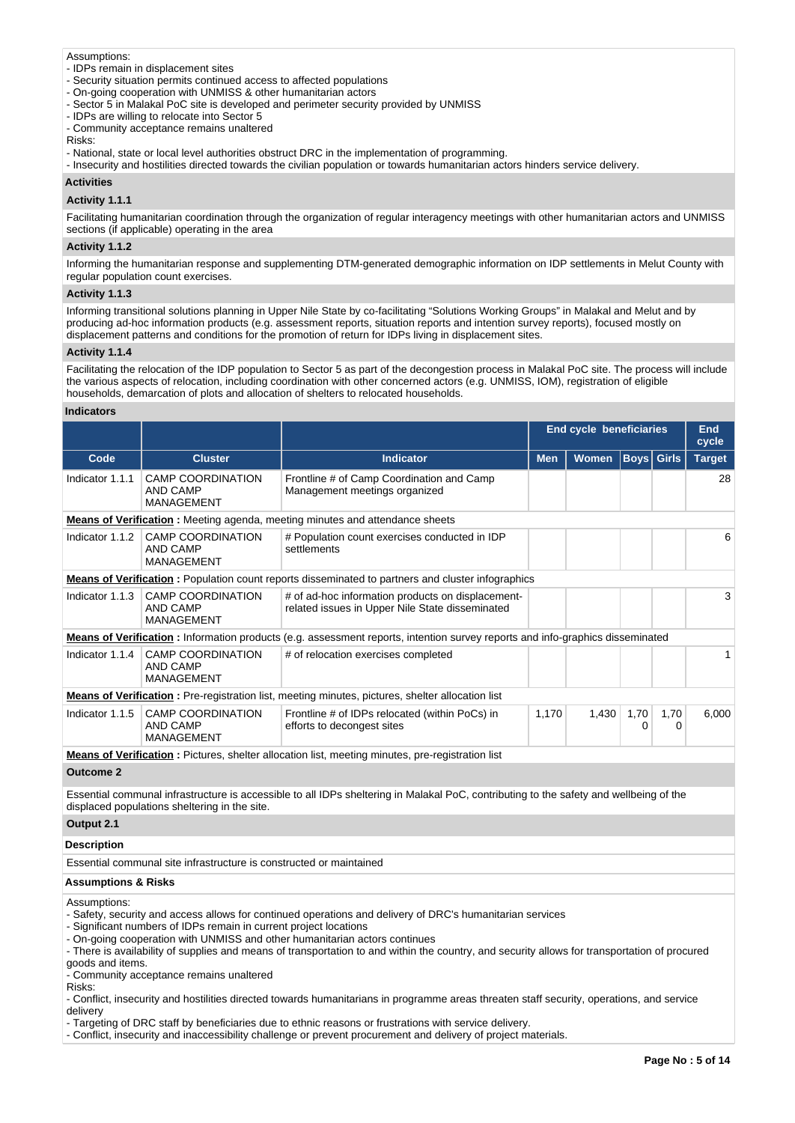Assumptions:

- IDPs remain in displacement sites
- Security situation permits continued access to affected populations
- On-going cooperation with UNMISS & other humanitarian actors
- Sector 5 in Malakal PoC site is developed and perimeter security provided by UNMISS
- IDPs are willing to relocate into Sector 5
- Community acceptance remains unaltered

Risks:

- National, state or local level authorities obstruct DRC in the implementation of programming.
- Insecurity and hostilities directed towards the civilian population or towards humanitarian actors hinders service delivery.

# **Activities**

# **Activity 1.1.1**

Facilitating humanitarian coordination through the organization of regular interagency meetings with other humanitarian actors and UNMISS sections (if applicable) operating in the area

#### **Activity 1.1.2**

Informing the humanitarian response and supplementing DTM-generated demographic information on IDP settlements in Melut County with regular population count exercises.

#### **Activity 1.1.3**

Informing transitional solutions planning in Upper Nile State by co-facilitating "Solutions Working Groups" in Malakal and Melut and by producing ad-hoc information products (e.g. assessment reports, situation reports and intention survey reports), focused mostly on displacement patterns and conditions for the promotion of return for IDPs living in displacement sites.

#### **Activity 1.1.4**

Facilitating the relocation of the IDP population to Sector 5 as part of the decongestion process in Malakal PoC site. The process will include the various aspects of relocation, including coordination with other concerned actors (e.g. UNMISS, IOM), registration of eligible households, demarcation of plots and allocation of shelters to relocated households.

#### **Indicators**

|                                                                                                           |                                                                  |                                                                                                                               | <b>End cycle beneficiaries</b> |              |                   |           | End<br>cycle  |
|-----------------------------------------------------------------------------------------------------------|------------------------------------------------------------------|-------------------------------------------------------------------------------------------------------------------------------|--------------------------------|--------------|-------------------|-----------|---------------|
| Code                                                                                                      | <b>Cluster</b>                                                   | Indicator                                                                                                                     | <b>Men</b>                     | <b>Women</b> | <b>Boys</b> Girls |           | <b>Target</b> |
| Indicator 1.1.1                                                                                           | <b>CAMP COORDINATION</b><br>AND CAMP<br><b>MANAGEMENT</b>        | Frontline # of Camp Coordination and Camp<br>Management meetings organized                                                    |                                |              |                   |           | 28            |
|                                                                                                           |                                                                  | <b>Means of Verification</b> : Meeting agenda, meeting minutes and attendance sheets                                          |                                |              |                   |           |               |
| Indicator 1.1.2                                                                                           | <b>CAMP COORDINATION</b><br><b>AND CAMP</b><br><b>MANAGEMENT</b> | # Population count exercises conducted in IDP<br>settlements                                                                  |                                |              |                   |           | 6             |
| <b>Means of Verification</b> : Population count reports disseminated to partners and cluster infographics |                                                                  |                                                                                                                               |                                |              |                   |           |               |
| Indicator 1.1.3                                                                                           | <b>CAMP COORDINATION</b><br>AND CAMP<br><b>MANAGEMENT</b>        | # of ad-hoc information products on displacement-<br>related issues in Upper Nile State disseminated                          |                                |              |                   |           | 3             |
|                                                                                                           |                                                                  | Means of Verification: Information products (e.g. assessment reports, intention survey reports and info-graphics disseminated |                                |              |                   |           |               |
| Indicator 1.1.4                                                                                           | <b>CAMP COORDINATION</b><br>AND CAMP<br><b>MANAGEMENT</b>        | # of relocation exercises completed                                                                                           |                                |              |                   |           |               |
|                                                                                                           |                                                                  | <b>Means of Verification</b> : Pre-registration list, meeting minutes, pictures, shelter allocation list                      |                                |              |                   |           |               |
| Indicator 1.1.5                                                                                           | <b>CAMP COORDINATION</b><br>AND CAMP<br><b>MANAGEMENT</b>        | Frontline # of IDPs relocated (within PoCs) in<br>efforts to decongest sites                                                  | 1,170                          | 1,430        | 1,70<br>0         | 1,70<br>0 | 6,000         |
|                                                                                                           |                                                                  | <b>Means of Verification</b> : Pictures, shelter allocation list, meeting minutes, pre-registration list                      |                                |              |                   |           |               |
| Outcome 2                                                                                                 |                                                                  |                                                                                                                               |                                |              |                   |           |               |

**Outcome 2**

Essential communal infrastructure is accessible to all IDPs sheltering in Malakal PoC, contributing to the safety and wellbeing of the displaced populations sheltering in the site.

# **Output 2.1**

#### **Description**

Essential communal site infrastructure is constructed or maintained

#### **Assumptions & Risks**

Assumptions:

- Safety, security and access allows for continued operations and delivery of DRC's humanitarian services
- Significant numbers of IDPs remain in current project locations
- On-going cooperation with UNMISS and other humanitarian actors continues
- There is availability of supplies and means of transportation to and within the country, and security allows for transportation of procured goods and items.

- Community acceptance remains unaltered

Risks:

- Conflict, insecurity and hostilities directed towards humanitarians in programme areas threaten staff security, operations, and service delivery
- Targeting of DRC staff by beneficiaries due to ethnic reasons or frustrations with service delivery.
- Conflict, insecurity and inaccessibility challenge or prevent procurement and delivery of project materials.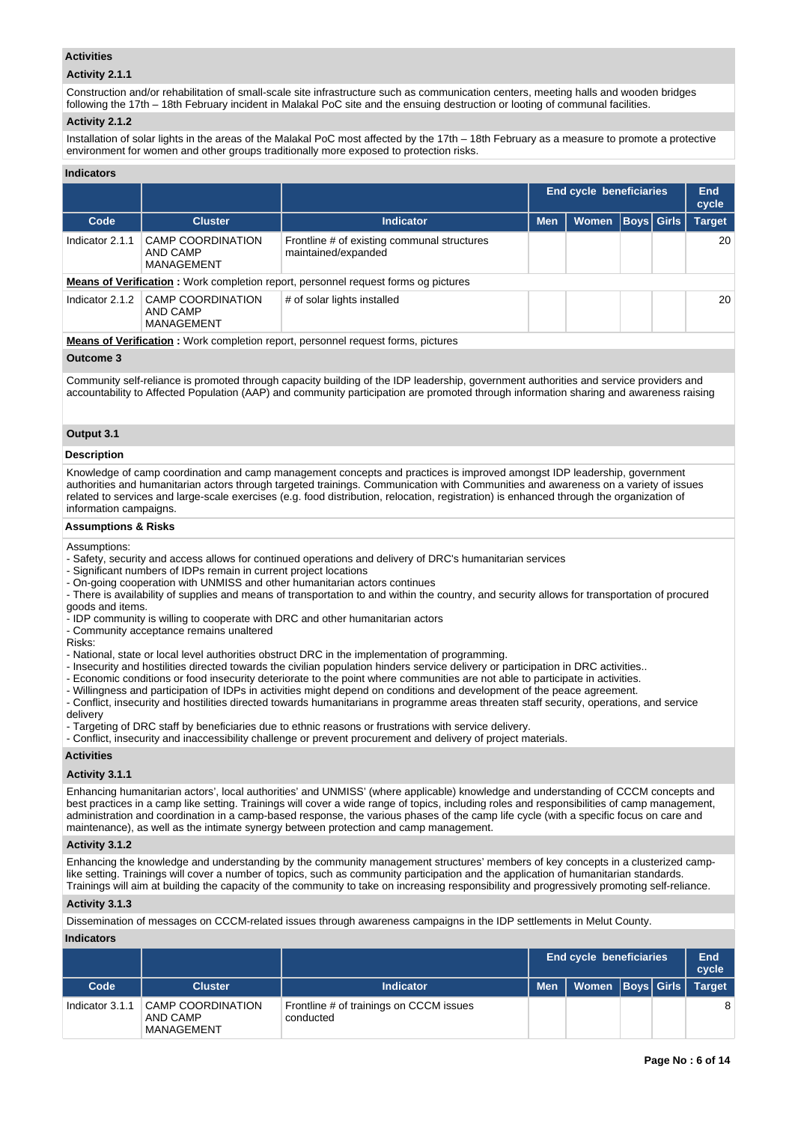# **Activities**

# **Activity 2.1.1**

Construction and/or rehabilitation of small-scale site infrastructure such as communication centers, meeting halls and wooden bridges following the 17th – 18th February incident in Malakal PoC site and the ensuing destruction or looting of communal facilities.

# **Activity 2.1.2**

Installation of solar lights in the areas of the Malakal PoC most affected by the 17th – 18th February as a measure to promote a protective environment for women and other groups traditionally more exposed to protection risks.

## **Indicators**

|                 |                                                                                         |                                                                                           |            | <b>End cycle beneficiaries</b> |  |                   | End<br>cycle  |  |
|-----------------|-----------------------------------------------------------------------------------------|-------------------------------------------------------------------------------------------|------------|--------------------------------|--|-------------------|---------------|--|
| Code            | <b>Cluster</b>                                                                          | <b>Indicator</b>                                                                          | <b>Men</b> | Women                          |  | <b>Boys</b> Girls | <b>Target</b> |  |
| Indicator 2.1.1 | CAMP COORDINATION<br>AND CAMP<br>MANAGEMENT                                             | Frontline # of existing communal structures<br>maintained/expanded                        |            |                                |  |                   | 20            |  |
|                 |                                                                                         | <b>Means of Verification:</b> Work completion report, personnel request forms og pictures |            |                                |  |                   |               |  |
| Indicator 2.1.2 | <b>CAMP COORDINATION</b><br>AND CAMP<br>MANAGEMENT                                      | # of solar lights installed                                                               |            |                                |  |                   | 20            |  |
|                 | <b>Means of Verification:</b> Work completion report, personnel request forms, pictures |                                                                                           |            |                                |  |                   |               |  |

#### **Outcome 3**

Community self-reliance is promoted through capacity building of the IDP leadership, government authorities and service providers and accountability to Affected Population (AAP) and community participation are promoted through information sharing and awareness raising

# **Output 3.1**

#### **Description**

Knowledge of camp coordination and camp management concepts and practices is improved amongst IDP leadership, government authorities and humanitarian actors through targeted trainings. Communication with Communities and awareness on a variety of issues related to services and large-scale exercises (e.g. food distribution, relocation, registration) is enhanced through the organization of information campaigns.

#### **Assumptions & Risks**

Assumptions:

- Safety, security and access allows for continued operations and delivery of DRC's humanitarian services
- Significant numbers of IDPs remain in current project locations
- On-going cooperation with UNMISS and other humanitarian actors continues
- There is availability of supplies and means of transportation to and within the country, and security allows for transportation of procured goods and items.
- IDP community is willing to cooperate with DRC and other humanitarian actors
- Community acceptance remains unaltered

Risks:

- National, state or local level authorities obstruct DRC in the implementation of programming.
- Insecurity and hostilities directed towards the civilian population hinders service delivery or participation in DRC activities..
- Economic conditions or food insecurity deteriorate to the point where communities are not able to participate in activities.
- Willingness and participation of IDPs in activities might depend on conditions and development of the peace agreement.

- Conflict, insecurity and hostilities directed towards humanitarians in programme areas threaten staff security, operations, and service delivery

- Targeting of DRC staff by beneficiaries due to ethnic reasons or frustrations with service delivery.

- Conflict, insecurity and inaccessibility challenge or prevent procurement and delivery of project materials.

#### **Activities**

## **Activity 3.1.1**

Enhancing humanitarian actors', local authorities' and UNMISS' (where applicable) knowledge and understanding of CCCM concepts and best practices in a camp like setting. Trainings will cover a wide range of topics, including roles and responsibilities of camp management, administration and coordination in a camp-based response, the various phases of the camp life cycle (with a specific focus on care and maintenance), as well as the intimate synergy between protection and camp management.

#### **Activity 3.1.2**

Enhancing the knowledge and understanding by the community management structures' members of key concepts in a clusterized camplike setting. Trainings will cover a number of topics, such as community participation and the application of humanitarian standards. Trainings will aim at building the capacity of the community to take on increasing responsibility and progressively promoting self-reliance.

## **Activity 3.1.3**

Dissemination of messages on CCCM-related issues through awareness campaigns in the IDP settlements in Melut County.

## **Indicators**

|                 |                                                    |                                                      |            | <b>End cycle beneficiaries</b> |  | End<br>cycle  |
|-----------------|----------------------------------------------------|------------------------------------------------------|------------|--------------------------------|--|---------------|
| Code            | <b>Cluster</b>                                     | <b>Indicator</b>                                     | <b>Men</b> | Women   Boys   Girls   1       |  | <b>Target</b> |
| Indicator 3.1.1 | <b>CAMP COORDINATION</b><br>AND CAMP<br>MANAGEMENT | Frontline # of trainings on CCCM issues<br>conducted |            |                                |  | 8             |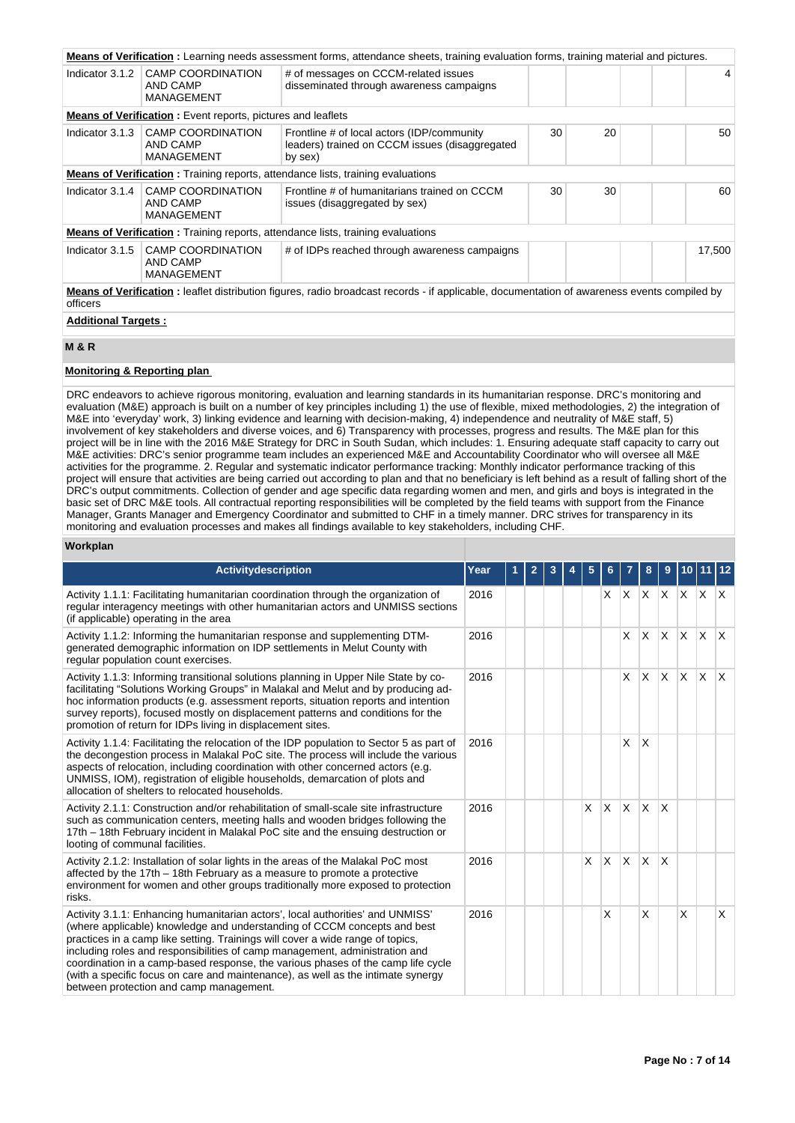|                                                                                                                                                                 |                                                                    | Means of Verification: Learning needs assessment forms, attendance sheets, training evaluation forms, training material and pictures. |    |    |  |        |  |  |
|-----------------------------------------------------------------------------------------------------------------------------------------------------------------|--------------------------------------------------------------------|---------------------------------------------------------------------------------------------------------------------------------------|----|----|--|--------|--|--|
| Indicator 3.1.2                                                                                                                                                 | <b>CAMP COORDINATION</b><br>AND CAMP<br><b>MANAGEMENT</b>          | # of messages on CCCM-related issues<br>disseminated through awareness campaigns                                                      |    |    |  | 4      |  |  |
|                                                                                                                                                                 | <b>Means of Verification:</b> Event reports, pictures and leaflets |                                                                                                                                       |    |    |  |        |  |  |
| Indicator 3.1.3                                                                                                                                                 | <b>CAMP COORDINATION</b><br>AND CAMP<br><b>MANAGEMENT</b>          | Frontline # of local actors (IDP/community<br>leaders) trained on CCCM issues (disaggregated<br>by sex)                               | 30 | 20 |  | 50     |  |  |
| <b>Means of Verification:</b> Training reports, attendance lists, training evaluations                                                                          |                                                                    |                                                                                                                                       |    |    |  |        |  |  |
| Indicator 3.1.4                                                                                                                                                 | <b>CAMP COORDINATION</b><br>AND CAMP<br><b>MANAGEMENT</b>          | Frontline # of humanitarians trained on CCCM<br>issues (disaggregated by sex)                                                         | 30 | 30 |  | 60     |  |  |
|                                                                                                                                                                 |                                                                    | <b>Means of Verification:</b> Training reports, attendance lists, training evaluations                                                |    |    |  |        |  |  |
| Indicator 3.1.5                                                                                                                                                 | <b>CAMP COORDINATION</b><br>AND CAMP<br><b>MANAGEMENT</b>          | # of IDPs reached through awareness campaigns                                                                                         |    |    |  | 17,500 |  |  |
| <b>Means of Verification</b> : leaflet distribution figures, radio broadcast records - if applicable, documentation of awareness events compiled by<br>officers |                                                                    |                                                                                                                                       |    |    |  |        |  |  |
|                                                                                                                                                                 | <b>Additional Targets:</b>                                         |                                                                                                                                       |    |    |  |        |  |  |

# **M & R**

# **Monitoring & Reporting plan**

DRC endeavors to achieve rigorous monitoring, evaluation and learning standards in its humanitarian response. DRC's monitoring and evaluation (M&E) approach is built on a number of key principles including 1) the use of flexible, mixed methodologies, 2) the integration of M&E into 'everyday' work, 3) linking evidence and learning with decision-making, 4) independence and neutrality of M&E staff, 5) involvement of key stakeholders and diverse voices, and 6) Transparency with processes, progress and results. The M&E plan for this project will be in line with the 2016 M&E Strategy for DRC in South Sudan, which includes: 1. Ensuring adequate staff capacity to carry out M&E activities: DRC's senior programme team includes an experienced M&E and Accountability Coordinator who will oversee all M&E activities for the programme. 2. Regular and systematic indicator performance tracking: Monthly indicator performance tracking of this project will ensure that activities are being carried out according to plan and that no beneficiary is left behind as a result of falling short of the DRC's output commitments. Collection of gender and age specific data regarding women and men, and girls and boys is integrated in the basic set of DRC M&E tools. All contractual reporting responsibilities will be completed by the field teams with support from the Finance Manager, Grants Manager and Emergency Coordinator and submitted to CHF in a timely manner. DRC strives for transparency in its monitoring and evaluation processes and makes all findings available to key stakeholders, including CHF.

#### **Workplan**

| Activitydescription                                                                                                                                                                                                                                                                                                                                                                                                                                                                                                                            | Year | $\mathbf{2}$ |  | 5 | 6.             |          | 8            | 9                       |              |              |              |
|------------------------------------------------------------------------------------------------------------------------------------------------------------------------------------------------------------------------------------------------------------------------------------------------------------------------------------------------------------------------------------------------------------------------------------------------------------------------------------------------------------------------------------------------|------|--------------|--|---|----------------|----------|--------------|-------------------------|--------------|--------------|--------------|
| Activity 1.1.1: Facilitating humanitarian coordination through the organization of<br>regular interagency meetings with other humanitarian actors and UNMISS sections<br>(if applicable) operating in the area                                                                                                                                                                                                                                                                                                                                 | 2016 |              |  |   | X.             |          | XXX          |                         |              | $X \times X$ |              |
| Activity 1.1.2: Informing the humanitarian response and supplementing DTM-<br>generated demographic information on IDP settlements in Melut County with<br>regular population count exercises.                                                                                                                                                                                                                                                                                                                                                 | 2016 |              |  |   |                | <b>X</b> | lx.          | <b>X</b>                | $\mathsf{X}$ | $\mathsf{X}$ | $\mathsf{X}$ |
| Activity 1.1.3: Informing transitional solutions planning in Upper Nile State by co-<br>facilitating "Solutions Working Groups" in Malakal and Melut and by producing ad-<br>hoc information products (e.g. assessment reports, situation reports and intention<br>survey reports), focused mostly on displacement patterns and conditions for the<br>promotion of return for IDPs living in displacement sites.                                                                                                                               | 2016 |              |  |   |                | X        | ΙX.          | <b>X</b>                | ΙX.          | ΙX.          | ΙX.          |
| Activity 1.1.4: Facilitating the relocation of the IDP population to Sector 5 as part of<br>the decongestion process in Malakal PoC site. The process will include the various<br>aspects of relocation, including coordination with other concerned actors (e.g.<br>UNMISS, IOM), registration of eligible households, demarcation of plots and<br>allocation of shelters to relocated households.                                                                                                                                            | 2016 |              |  |   |                | X        | X            |                         |              |              |              |
| Activity 2.1.1: Construction and/or rehabilitation of small-scale site infrastructure<br>such as communication centers, meeting halls and wooden bridges following the<br>17th - 18th February incident in Malakal PoC site and the ensuing destruction or<br>looting of communal facilities.                                                                                                                                                                                                                                                  | 2016 |              |  | X | $\overline{X}$ | ΙX.      | $\mathsf{X}$ | $\overline{\mathsf{x}}$ |              |              |              |
| Activity 2.1.2: Installation of solar lights in the areas of the Malakal PoC most<br>affected by the 17th – 18th February as a measure to promote a protective<br>environment for women and other groups traditionally more exposed to protection<br>risks.                                                                                                                                                                                                                                                                                    | 2016 |              |  | X | ΙX.            | Ιx.      | $\mathsf{X}$ | $\overline{\mathsf{x}}$ |              |              |              |
| Activity 3.1.1: Enhancing humanitarian actors', local authorities' and UNMISS'<br>(where applicable) knowledge and understanding of CCCM concepts and best<br>practices in a camp like setting. Trainings will cover a wide range of topics,<br>including roles and responsibilities of camp management, administration and<br>coordination in a camp-based response, the various phases of the camp life cycle<br>(with a specific focus on care and maintenance), as well as the intimate synergy<br>between protection and camp management. | 2016 |              |  |   | X              |          | X            |                         | X            |              | X            |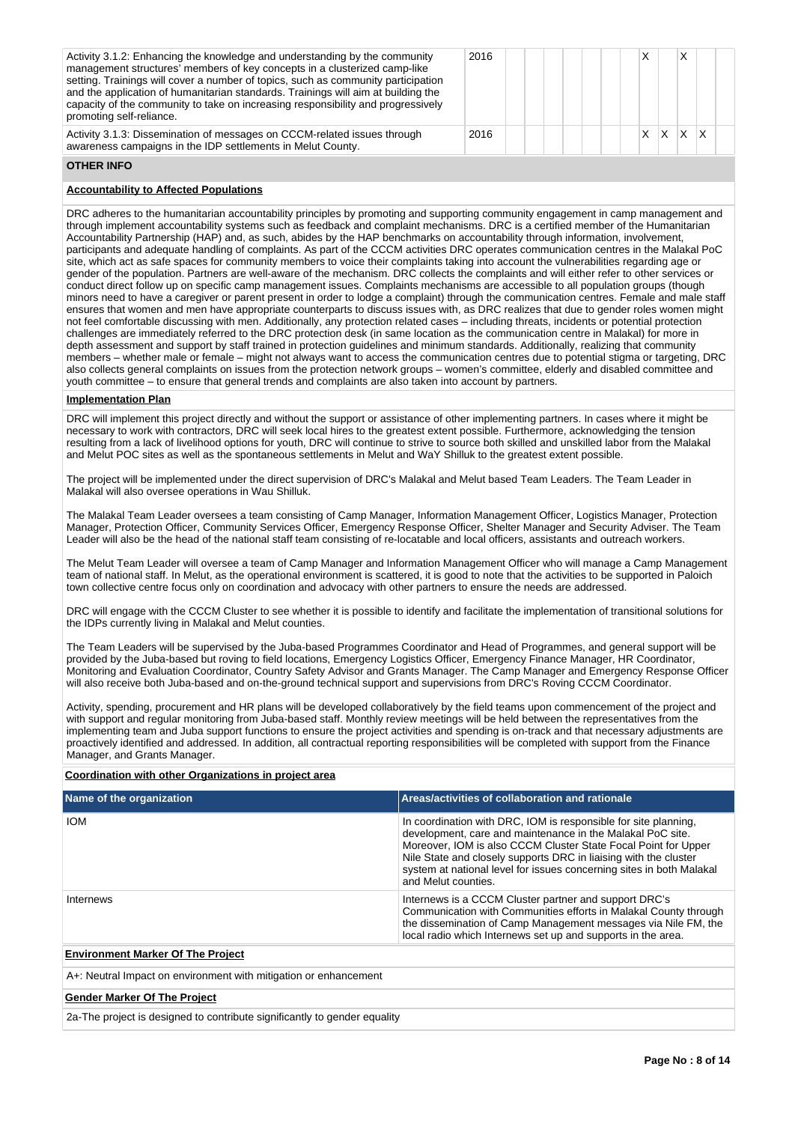| Activity 3.1.2: Enhancing the knowledge and understanding by the community<br>management structures' members of key concepts in a clusterized camp-like<br>setting. Trainings will cover a number of topics, such as community participation<br>and the application of humanitarian standards. Trainings will aim at building the<br>capacity of the community to take on increasing responsibility and progressively<br>promoting self-reliance. | 2016 |  |  |   |   |    |  |
|---------------------------------------------------------------------------------------------------------------------------------------------------------------------------------------------------------------------------------------------------------------------------------------------------------------------------------------------------------------------------------------------------------------------------------------------------|------|--|--|---|---|----|--|
| Activity 3.1.3: Dissemination of messages on CCCM-related issues through<br>awareness campaigns in the IDP settlements in Melut County.                                                                                                                                                                                                                                                                                                           | 2016 |  |  | X | X | X. |  |

# **OTHER INFO**

# **Accountability to Affected Populations**

DRC adheres to the humanitarian accountability principles by promoting and supporting community engagement in camp management and through implement accountability systems such as feedback and complaint mechanisms. DRC is a certified member of the Humanitarian Accountability Partnership (HAP) and, as such, abides by the HAP benchmarks on accountability through information, involvement, participants and adequate handling of complaints. As part of the CCCM activities DRC operates communication centres in the Malakal PoC site, which act as safe spaces for community members to voice their complaints taking into account the vulnerabilities regarding age or gender of the population. Partners are well-aware of the mechanism. DRC collects the complaints and will either refer to other services or conduct direct follow up on specific camp management issues. Complaints mechanisms are accessible to all population groups (though minors need to have a caregiver or parent present in order to lodge a complaint) through the communication centres. Female and male staff ensures that women and men have appropriate counterparts to discuss issues with, as DRC realizes that due to gender roles women might not feel comfortable discussing with men. Additionally, any protection related cases – including threats, incidents or potential protection challenges are immediately referred to the DRC protection desk (in same location as the communication centre in Malakal) for more in depth assessment and support by staff trained in protection guidelines and minimum standards. Additionally, realizing that community members – whether male or female – might not always want to access the communication centres due to potential stigma or targeting, DRC also collects general complaints on issues from the protection network groups – women's committee, elderly and disabled committee and youth committee – to ensure that general trends and complaints are also taken into account by partners.

# **Implementation Plan**

DRC will implement this project directly and without the support or assistance of other implementing partners. In cases where it might be necessary to work with contractors, DRC will seek local hires to the greatest extent possible. Furthermore, acknowledging the tension resulting from a lack of livelihood options for youth, DRC will continue to strive to source both skilled and unskilled labor from the Malakal and Melut POC sites as well as the spontaneous settlements in Melut and WaY Shilluk to the greatest extent possible.

The project will be implemented under the direct supervision of DRC's Malakal and Melut based Team Leaders. The Team Leader in Malakal will also oversee operations in Wau Shilluk.

The Malakal Team Leader oversees a team consisting of Camp Manager, Information Management Officer, Logistics Manager, Protection Manager, Protection Officer, Community Services Officer, Emergency Response Officer, Shelter Manager and Security Adviser. The Team Leader will also be the head of the national staff team consisting of re-locatable and local officers, assistants and outreach workers.

The Melut Team Leader will oversee a team of Camp Manager and Information Management Officer who will manage a Camp Management team of national staff. In Melut, as the operational environment is scattered, it is good to note that the activities to be supported in Paloich town collective centre focus only on coordination and advocacy with other partners to ensure the needs are addressed.

DRC will engage with the CCCM Cluster to see whether it is possible to identify and facilitate the implementation of transitional solutions for the IDPs currently living in Malakal and Melut counties.

The Team Leaders will be supervised by the Juba-based Programmes Coordinator and Head of Programmes, and general support will be provided by the Juba-based but roving to field locations, Emergency Logistics Officer, Emergency Finance Manager, HR Coordinator, Monitoring and Evaluation Coordinator, Country Safety Advisor and Grants Manager. The Camp Manager and Emergency Response Officer will also receive both Juba-based and on-the-ground technical support and supervisions from DRC's Roving CCCM Coordinator.

Activity, spending, procurement and HR plans will be developed collaboratively by the field teams upon commencement of the project and with support and regular monitoring from Juba-based staff. Monthly review meetings will be held between the representatives from the implementing team and Juba support functions to ensure the project activities and spending is on-track and that necessary adjustments are proactively identified and addressed. In addition, all contractual reporting responsibilities will be completed with support from the Finance Manager, and Grants Manager.

#### **Coordination with other Organizations in project area**

| Name of the organization                                                  | Areas/activities of collaboration and rationale                                                                                                                                                                                                                                                                                                                    |
|---------------------------------------------------------------------------|--------------------------------------------------------------------------------------------------------------------------------------------------------------------------------------------------------------------------------------------------------------------------------------------------------------------------------------------------------------------|
| <b>IOM</b>                                                                | In coordination with DRC, IOM is responsible for site planning,<br>development, care and maintenance in the Malakal PoC site.<br>Moreover, IOM is also CCCM Cluster State Focal Point for Upper<br>Nile State and closely supports DRC in liaising with the cluster<br>system at national level for issues concerning sites in both Malakal<br>and Melut counties. |
| Internews                                                                 | Internews is a CCCM Cluster partner and support DRC's<br>Communication with Communities efforts in Malakal County through<br>the dissemination of Camp Management messages via Nile FM, the<br>local radio which Internews set up and supports in the area.                                                                                                        |
| <b>Environment Marker Of The Project</b>                                  |                                                                                                                                                                                                                                                                                                                                                                    |
| A+: Neutral Impact on environment with mitigation or enhancement          |                                                                                                                                                                                                                                                                                                                                                                    |
| <b>Gender Marker Of The Project</b>                                       |                                                                                                                                                                                                                                                                                                                                                                    |
| 2a-The project is designed to contribute significantly to gender equality |                                                                                                                                                                                                                                                                                                                                                                    |

**Page No : 8 of 14**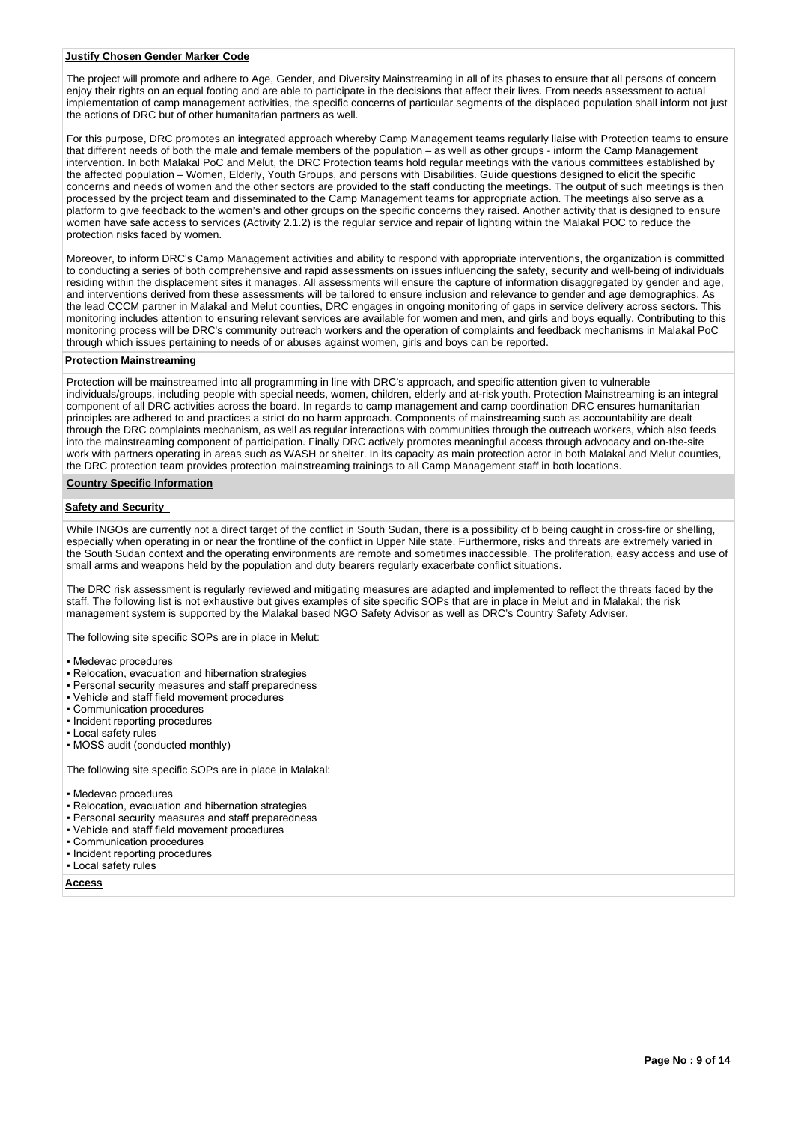#### **Justify Chosen Gender Marker Code**

The project will promote and adhere to Age, Gender, and Diversity Mainstreaming in all of its phases to ensure that all persons of concern enjoy their rights on an equal footing and are able to participate in the decisions that affect their lives. From needs assessment to actual implementation of camp management activities, the specific concerns of particular segments of the displaced population shall inform not just the actions of DRC but of other humanitarian partners as well.

For this purpose, DRC promotes an integrated approach whereby Camp Management teams regularly liaise with Protection teams to ensure that different needs of both the male and female members of the population – as well as other groups - inform the Camp Management intervention. In both Malakal PoC and Melut, the DRC Protection teams hold regular meetings with the various committees established by the affected population – Women, Elderly, Youth Groups, and persons with Disabilities. Guide questions designed to elicit the specific concerns and needs of women and the other sectors are provided to the staff conducting the meetings. The output of such meetings is then processed by the project team and disseminated to the Camp Management teams for appropriate action. The meetings also serve as a platform to give feedback to the women's and other groups on the specific concerns they raised. Another activity that is designed to ensure women have safe access to services (Activity 2.1.2) is the regular service and repair of lighting within the Malakal POC to reduce the protection risks faced by women.

Moreover, to inform DRC's Camp Management activities and ability to respond with appropriate interventions, the organization is committed to conducting a series of both comprehensive and rapid assessments on issues influencing the safety, security and well-being of individuals residing within the displacement sites it manages. All assessments will ensure the capture of information disaggregated by gender and age, and interventions derived from these assessments will be tailored to ensure inclusion and relevance to gender and age demographics. As the lead CCCM partner in Malakal and Melut counties, DRC engages in ongoing monitoring of gaps in service delivery across sectors. This monitoring includes attention to ensuring relevant services are available for women and men, and girls and boys equally. Contributing to this monitoring process will be DRC's community outreach workers and the operation of complaints and feedback mechanisms in Malakal PoC through which issues pertaining to needs of or abuses against women, girls and boys can be reported.

## **Protection Mainstreaming**

Protection will be mainstreamed into all programming in line with DRC's approach, and specific attention given to vulnerable individuals/groups, including people with special needs, women, children, elderly and at-risk youth. Protection Mainstreaming is an integral component of all DRC activities across the board. In regards to camp management and camp coordination DRC ensures humanitarian principles are adhered to and practices a strict do no harm approach. Components of mainstreaming such as accountability are dealt through the DRC complaints mechanism, as well as regular interactions with communities through the outreach workers, which also feeds into the mainstreaming component of participation. Finally DRC actively promotes meaningful access through advocacy and on-the-site work with partners operating in areas such as WASH or shelter. In its capacity as main protection actor in both Malakal and Melut counties, the DRC protection team provides protection mainstreaming trainings to all Camp Management staff in both locations.

#### **Country Specific Information**

#### **Safety and Security**

While INGOs are currently not a direct target of the conflict in South Sudan, there is a possibility of b being caught in cross-fire or shelling, especially when operating in or near the frontline of the conflict in Upper Nile state. Furthermore, risks and threats are extremely varied in the South Sudan context and the operating environments are remote and sometimes inaccessible. The proliferation, easy access and use of small arms and weapons held by the population and duty bearers regularly exacerbate conflict situations.

The DRC risk assessment is regularly reviewed and mitigating measures are adapted and implemented to reflect the threats faced by the staff. The following list is not exhaustive but gives examples of site specific SOPs that are in place in Melut and in Malakal; the risk management system is supported by the Malakal based NGO Safety Advisor as well as DRC's Country Safety Adviser.

The following site specific SOPs are in place in Melut:

- Medevac procedures
- Relocation, evacuation and hibernation strategies
- Personal security measures and staff preparedness
- Vehicle and staff field movement procedures
- Communication procedures
- Incident reporting procedures
- Local safety rules

• MOSS audit (conducted monthly)

The following site specific SOPs are in place in Malakal:

- Medevac procedures
- Relocation, evacuation and hibernation strategies
- Personal security measures and staff preparedness
- Vehicle and staff field movement procedures
- Communication procedures
- Incident reporting procedures
- Local safety rules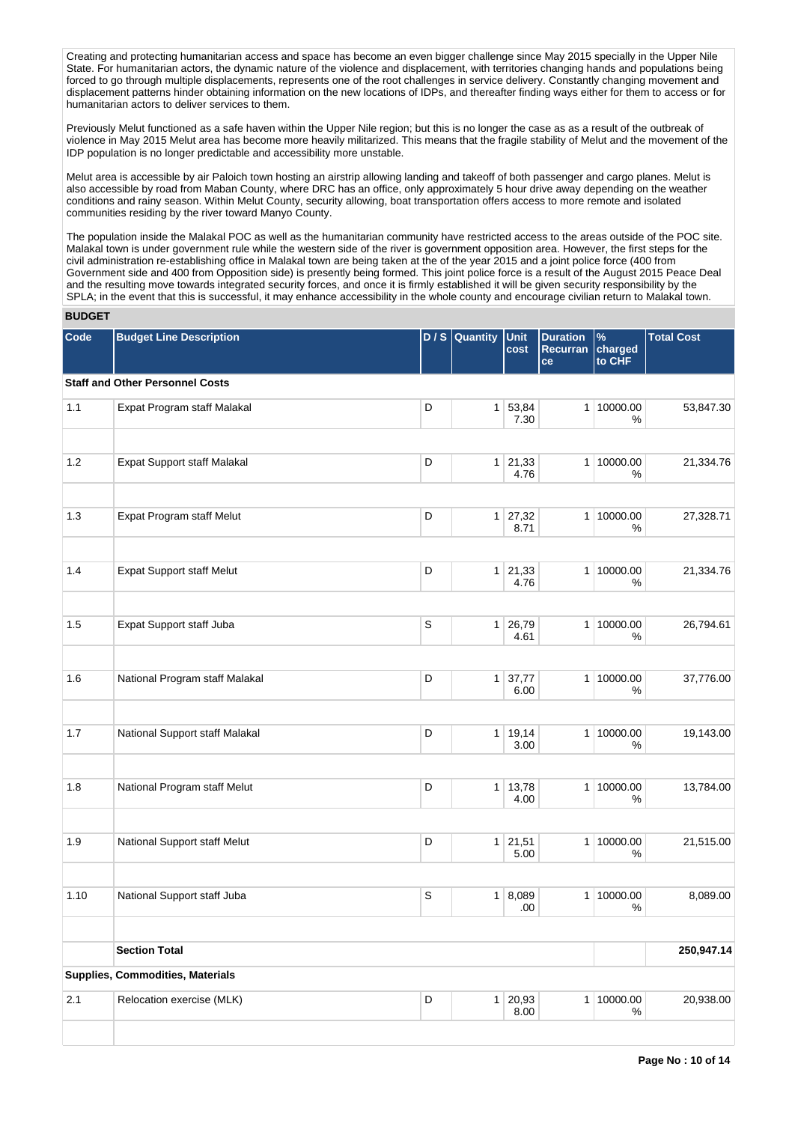Creating and protecting humanitarian access and space has become an even bigger challenge since May 2015 specially in the Upper Nile State. For humanitarian actors, the dynamic nature of the violence and displacement, with territories changing hands and populations being forced to go through multiple displacements, represents one of the root challenges in service delivery. Constantly changing movement and displacement patterns hinder obtaining information on the new locations of IDPs, and thereafter finding ways either for them to access or for humanitarian actors to deliver services to them.

Previously Melut functioned as a safe haven within the Upper Nile region; but this is no longer the case as as a result of the outbreak of violence in May 2015 Melut area has become more heavily militarized. This means that the fragile stability of Melut and the movement of the IDP population is no longer predictable and accessibility more unstable.

Melut area is accessible by air Paloich town hosting an airstrip allowing landing and takeoff of both passenger and cargo planes. Melut is also accessible by road from Maban County, where DRC has an office, only approximately 5 hour drive away depending on the weather conditions and rainy season. Within Melut County, security allowing, boat transportation offers access to more remote and isolated communities residing by the river toward Manyo County.

The population inside the Malakal POC as well as the humanitarian community have restricted access to the areas outside of the POC site. Malakal town is under government rule while the western side of the river is government opposition area. However, the first steps for the civil administration re-establishing office in Malakal town are being taken at the of the year 2015 and a joint police force (400 from Government side and 400 from Opposition side) is presently being formed. This joint police force is a result of the August 2015 Peace Deal and the resulting move towards integrated security forces, and once it is firmly established it will be given security responsibility by the SPLA; in the event that this is successful, it may enhance accessibility in the whole county and encourage civilian return to Malakal town.

# **BUDGET**

| Code | <b>Budget Line Description</b>         |             | D / S Quantity | Unit<br>cost           | <b>Duration</b><br>Recurran<br>ce | $\%$<br>charged<br>to CHF | <b>Total Cost</b> |
|------|----------------------------------------|-------------|----------------|------------------------|-----------------------------------|---------------------------|-------------------|
|      | <b>Staff and Other Personnel Costs</b> |             |                |                        |                                   |                           |                   |
| 1.1  | Expat Program staff Malakal            | D           | 1              | 53,84<br>7.30          |                                   | 1 10000.00<br>%           | 53,847.30         |
| 1.2  | Expat Support staff Malakal            | D           | 1              | 21,33<br>4.76          |                                   | 1 10000.00<br>%           | 21,334.76         |
| 1.3  | Expat Program staff Melut              | D           | 1 <sup>1</sup> | 27,32<br>8.71          |                                   | 1 10000.00<br>$\%$        | 27,328.71         |
| 1.4  | <b>Expat Support staff Melut</b>       | D           |                | $1 \ 21,33$<br>4.76    |                                   | 1 10000.00<br>%           | 21,334.76         |
| 1.5  | Expat Support staff Juba               | $\mathbb S$ |                | $1 \mid 26,79$<br>4.61 |                                   | 1 10000.00<br>%           | 26,794.61         |
| 1.6  | National Program staff Malakal         | D           | 1              | 37,77<br>6.00          |                                   | 1 10000.00<br>%           | 37,776.00         |
| 1.7  | National Support staff Malakal         | D           | 1              | 19,14<br>3.00          |                                   | 1 10000.00<br>$\%$        | 19,143.00         |
| 1.8  | National Program staff Melut           | D           | 1 <sup>1</sup> | 13,78<br>4.00          |                                   | 1 10000.00<br>%           | 13,784.00         |
| 1.9  | National Support staff Melut           | D           |                | $1 \ 21,51$<br>5.00    |                                   | 1 10000.00<br>%           | 21,515.00         |
| 1.10 | National Support staff Juba            | $\mathsf S$ |                | 1   8,089<br>.00       |                                   | 1 10000.00<br>%           | 8,089.00          |
|      | <b>Section Total</b>                   |             |                |                        |                                   |                           | 250,947.14        |
|      | Supplies, Commodities, Materials       |             |                |                        |                                   |                           |                   |
| 2.1  | Relocation exercise (MLK)              | D           | 1 <sup>1</sup> | 20,93<br>8.00          |                                   | 1 10000.00<br>%           | 20,938.00         |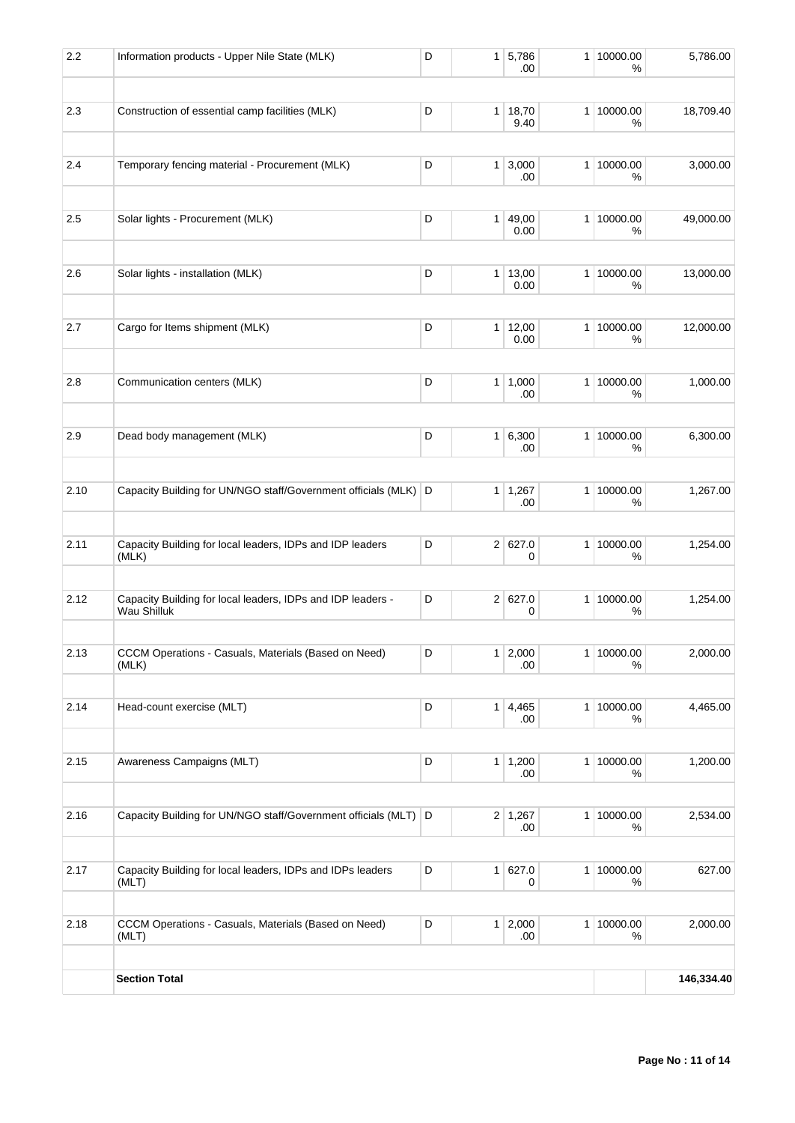| 2.2  | Information products - Upper Nile State (MLK)                              | D | $\mathbf{1}$   | 5,786<br>.00          | 1 10000.00<br>℅    | 5,786.00   |
|------|----------------------------------------------------------------------------|---|----------------|-----------------------|--------------------|------------|
| 2.3  | Construction of essential camp facilities (MLK)                            | D |                | 1   18,70             | 1 10000.00         | 18,709.40  |
|      |                                                                            |   |                | 9.40                  | %                  |            |
| 2.4  | Temporary fencing material - Procurement (MLK)                             | D | 1 <sup>1</sup> | 3,000<br>.00          | 1 10000.00<br>%    | 3,000.00   |
| 2.5  | Solar lights - Procurement (MLK)                                           | D | 1              | 49,00<br>0.00         | 1 10000.00<br>%    | 49,000.00  |
| 2.6  | Solar lights - installation (MLK)                                          | D | 1 <sup>1</sup> | 13,00                 | 1 10000.00         | 13,000.00  |
|      |                                                                            |   |                | 0.00                  | %                  |            |
| 2.7  | Cargo for Items shipment (MLK)                                             | D | 1 <sup>1</sup> | 12,00<br>0.00         | 1 10000.00<br>%    | 12,000.00  |
| 2.8  | Communication centers (MLK)                                                | D |                | 1   1,000<br>.00      | 1 10000.00<br>%    | 1,000.00   |
| 2.9  | Dead body management (MLK)                                                 | D | 1 <sup>1</sup> | 6,300<br>.00          | 1 10000.00<br>%    | 6,300.00   |
| 2.10 | Capacity Building for UN/NGO staff/Government officials (MLK) D            |   |                | $1 \mid 1,267$<br>.00 | 1 10000.00<br>%    | 1,267.00   |
| 2.11 | Capacity Building for local leaders, IDPs and IDP leaders<br>(MLK)         | D | 2 <sup>1</sup> | 627.0<br>0            | 1 10000.00<br>%    | 1,254.00   |
| 2.12 | Capacity Building for local leaders, IDPs and IDP leaders -<br>Wau Shilluk | D |                | 2 627.0<br>0          | 1 10000.00<br>%    | 1,254.00   |
| 2.13 | CCCM Operations - Casuals, Materials (Based on Need)<br>(MLK)              | D |                | 1 2,000<br>.00        | 1 10000.00<br>%    | 2,000.00   |
| 2.14 | Head-count exercise (MLT)                                                  | D | 1 <sup>1</sup> | 4,465<br>.00          | 1 10000.00<br>%    | 4,465.00   |
| 2.15 | Awareness Campaigns (MLT)                                                  | D | 1 <sup>1</sup> | 1,200<br>.00          | 1 10000.00<br>%    | 1,200.00   |
| 2.16 | Capacity Building for UN/NGO staff/Government officials (MLT) D            |   |                | $2 \mid 1,267$<br>.00 | 1 10000.00<br>%    | 2,534.00   |
| 2.17 | Capacity Building for local leaders, IDPs and IDPs leaders<br>(MLT)        | D | 1 <sup>1</sup> | 627.0<br>0            | 1 10000.00<br>$\%$ | 627.00     |
| 2.18 | CCCM Operations - Casuals, Materials (Based on Need)<br>(MLT)              | D | 1              | 2,000<br>.00.         | 1 10000.00<br>%    | 2,000.00   |
|      | <b>Section Total</b>                                                       |   |                |                       |                    | 146,334.40 |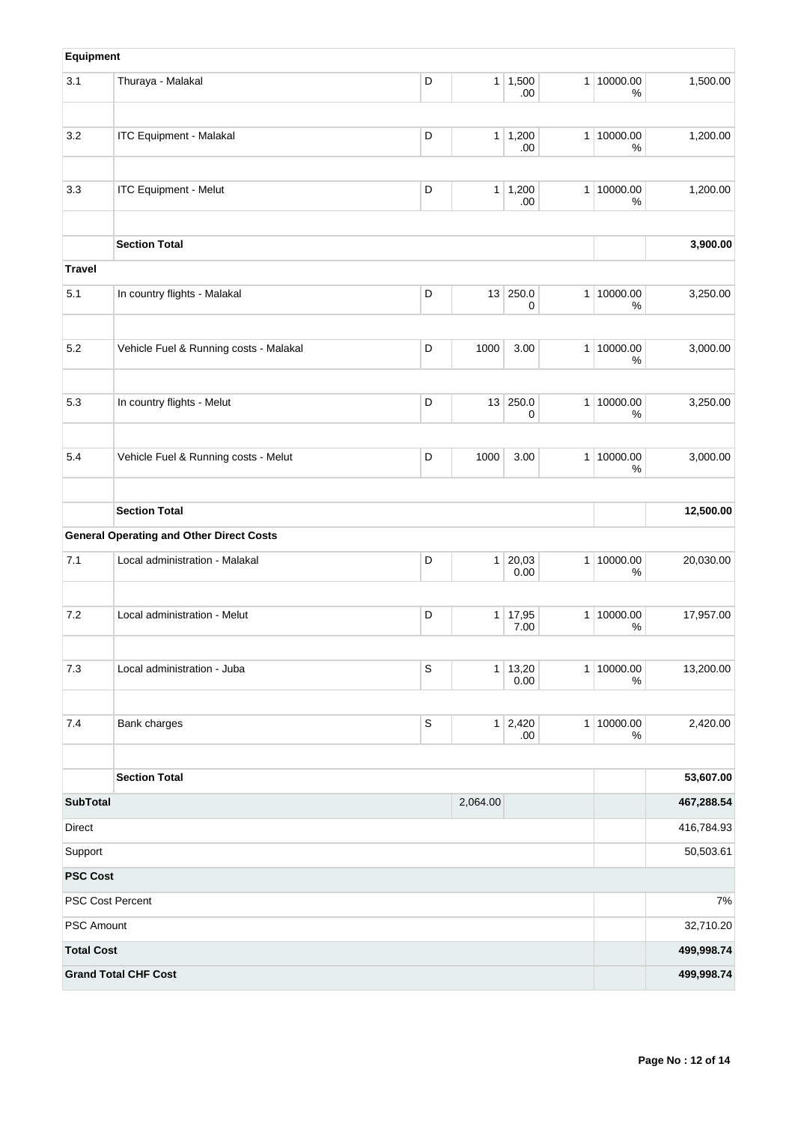| Equipment         |                                                 |             |                |                        |                |                    |            |
|-------------------|-------------------------------------------------|-------------|----------------|------------------------|----------------|--------------------|------------|
| 3.1               | Thuraya - Malakal                               | D           | 1              | 1,500<br>.00.          |                | 1 10000.00<br>%    | 1,500.00   |
| 3.2               | <b>ITC Equipment - Malakal</b>                  | D           |                | $1 \mid 1,200$<br>.00. |                | 1 10000.00<br>%    | 1,200.00   |
| 3.3               | <b>ITC Equipment - Melut</b>                    | D           | 1              | 1,200<br>.00           |                | 1 10000.00<br>$\%$ | 1,200.00   |
|                   | <b>Section Total</b>                            |             |                |                        |                |                    | 3,900.00   |
| <b>Travel</b>     |                                                 |             |                |                        |                |                    |            |
| 5.1               | In country flights - Malakal                    | D           | 13             | 250.0<br>0             | 1 <sup>1</sup> | 10000.00<br>%      | 3,250.00   |
| 5.2               | Vehicle Fuel & Running costs - Malakal          | D           | 1000           | 3.00                   |                | 1 10000.00<br>%    | 3,000.00   |
| 5.3               | In country flights - Melut                      | D           | 13             | 250.0                  |                | 1 10000.00         | 3,250.00   |
|                   |                                                 |             |                | 0                      |                | $\%$               |            |
| 5.4               | Vehicle Fuel & Running costs - Melut            | D           | 1000           | 3.00                   |                | 1 10000.00<br>%    | 3,000.00   |
|                   | <b>Section Total</b>                            |             |                |                        |                |                    | 12,500.00  |
|                   | <b>General Operating and Other Direct Costs</b> |             |                |                        |                |                    |            |
| 7.1               | Local administration - Malakal                  | D           | 1              | 20,03<br>0.00          |                | 1 10000.00<br>$\%$ | 20,030.00  |
| 7.2               | Local administration - Melut                    | D           | 1 <sup>1</sup> | 17,95<br>7.00          |                | 1 10000.00<br>%    | 17,957.00  |
| 7.3               | Local administration - Juba                     | S           | 1              | 13,20<br>0.00          |                | 1 10000.00<br>%    | 13,200.00  |
| 7.4               | Bank charges                                    | $\mathbb S$ |                | 1 2,420<br>.00.        |                | 1 10000.00<br>%    | 2,420.00   |
|                   | <b>Section Total</b>                            |             |                |                        |                |                    | 53,607.00  |
| <b>SubTotal</b>   |                                                 |             | 2,064.00       |                        |                |                    | 467,288.54 |
| Direct            |                                                 |             |                |                        |                |                    | 416,784.93 |
| Support           |                                                 |             |                |                        |                |                    | 50,503.61  |
| <b>PSC Cost</b>   |                                                 |             |                |                        |                |                    |            |
|                   | PSC Cost Percent                                |             |                |                        |                |                    | $7\%$      |
| PSC Amount        |                                                 |             |                |                        |                |                    | 32,710.20  |
| <b>Total Cost</b> |                                                 |             |                |                        |                |                    | 499,998.74 |
|                   | <b>Grand Total CHF Cost</b>                     |             |                |                        |                |                    | 499,998.74 |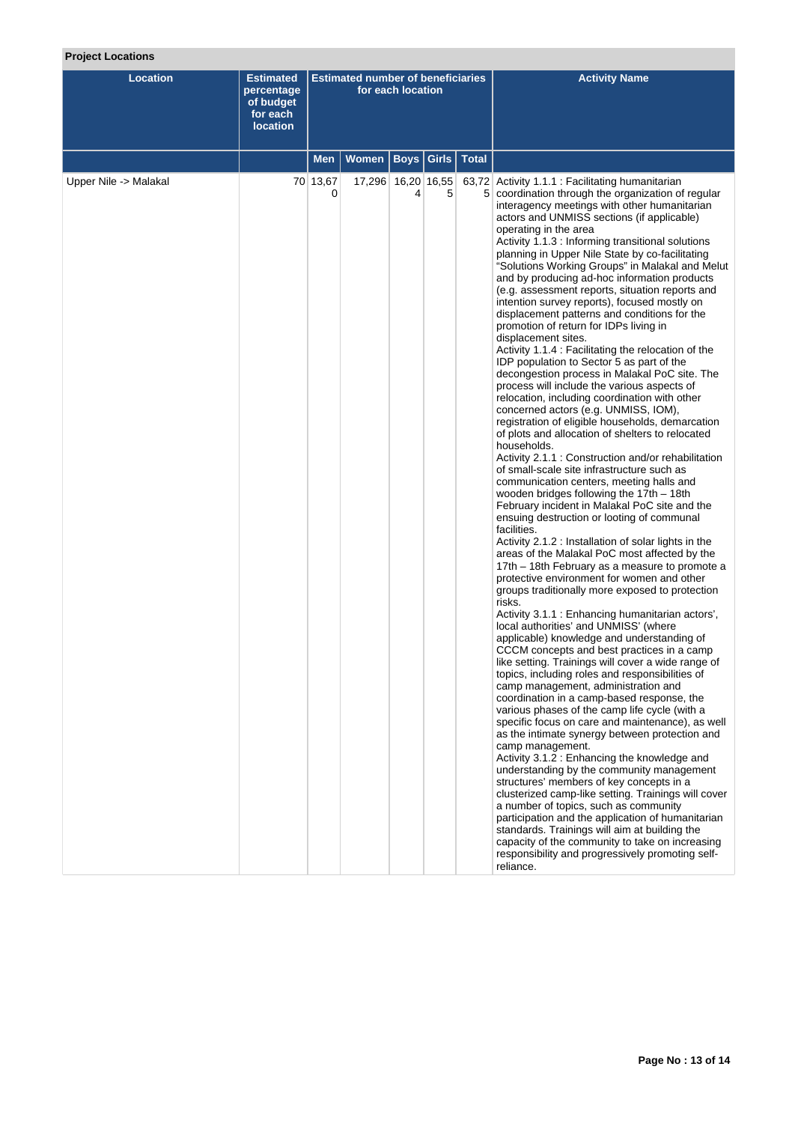# **Project Locations**

| <b>Location</b>       | <b>Estimated</b><br>percentage<br>of budget<br>for each<br><b>location</b> | <b>Estimated number of beneficiaries</b><br>for each location |                    |                       |   |              | <b>Activity Name</b>                                                                                                                                                                                                                                                                                                                                                                                                                                                                                                                                                                                                                                                                                                                                                                                                                                                                                                                                                                                                                                                                                                                                                                                                                                                                                                                                                                                                                                                                                                                                                                                                                                                                                                                                                                                                                                                                                                                                                                                                                                                                                                                                                                                                                                                                                                                                                                                                                                                                                                                                                                                                                                                                                   |
|-----------------------|----------------------------------------------------------------------------|---------------------------------------------------------------|--------------------|-----------------------|---|--------------|--------------------------------------------------------------------------------------------------------------------------------------------------------------------------------------------------------------------------------------------------------------------------------------------------------------------------------------------------------------------------------------------------------------------------------------------------------------------------------------------------------------------------------------------------------------------------------------------------------------------------------------------------------------------------------------------------------------------------------------------------------------------------------------------------------------------------------------------------------------------------------------------------------------------------------------------------------------------------------------------------------------------------------------------------------------------------------------------------------------------------------------------------------------------------------------------------------------------------------------------------------------------------------------------------------------------------------------------------------------------------------------------------------------------------------------------------------------------------------------------------------------------------------------------------------------------------------------------------------------------------------------------------------------------------------------------------------------------------------------------------------------------------------------------------------------------------------------------------------------------------------------------------------------------------------------------------------------------------------------------------------------------------------------------------------------------------------------------------------------------------------------------------------------------------------------------------------------------------------------------------------------------------------------------------------------------------------------------------------------------------------------------------------------------------------------------------------------------------------------------------------------------------------------------------------------------------------------------------------------------------------------------------------------------------------------------------------|
|                       |                                                                            | Men                                                           | Women              | <b>Boys   Girls  </b> |   | <b>Total</b> |                                                                                                                                                                                                                                                                                                                                                                                                                                                                                                                                                                                                                                                                                                                                                                                                                                                                                                                                                                                                                                                                                                                                                                                                                                                                                                                                                                                                                                                                                                                                                                                                                                                                                                                                                                                                                                                                                                                                                                                                                                                                                                                                                                                                                                                                                                                                                                                                                                                                                                                                                                                                                                                                                                        |
| Upper Nile -> Malakal |                                                                            | 70 13,67<br>0                                                 | 17,296 16,20 16,55 | 4                     | 5 |              | 63,72 Activity 1.1.1 : Facilitating humanitarian<br>5 coordination through the organization of regular<br>interagency meetings with other humanitarian<br>actors and UNMISS sections (if applicable)<br>operating in the area<br>Activity 1.1.3 : Informing transitional solutions<br>planning in Upper Nile State by co-facilitating<br>"Solutions Working Groups" in Malakal and Melut<br>and by producing ad-hoc information products<br>(e.g. assessment reports, situation reports and<br>intention survey reports), focused mostly on<br>displacement patterns and conditions for the<br>promotion of return for IDPs living in<br>displacement sites.<br>Activity 1.1.4 : Facilitating the relocation of the<br>IDP population to Sector 5 as part of the<br>decongestion process in Malakal PoC site. The<br>process will include the various aspects of<br>relocation, including coordination with other<br>concerned actors (e.g. UNMISS, IOM),<br>registration of eligible households, demarcation<br>of plots and allocation of shelters to relocated<br>households.<br>Activity 2.1.1 : Construction and/or rehabilitation<br>of small-scale site infrastructure such as<br>communication centers, meeting halls and<br>wooden bridges following the 17th - 18th<br>February incident in Malakal PoC site and the<br>ensuing destruction or looting of communal<br>facilities.<br>Activity 2.1.2 : Installation of solar lights in the<br>areas of the Malakal PoC most affected by the<br>17th - 18th February as a measure to promote a<br>protective environment for women and other<br>groups traditionally more exposed to protection<br>risks.<br>Activity 3.1.1 : Enhancing humanitarian actors',<br>local authorities' and UNMISS' (where<br>applicable) knowledge and understanding of<br>CCCM concepts and best practices in a camp<br>like setting. Trainings will cover a wide range of<br>topics, including roles and responsibilities of<br>camp management, administration and<br>coordination in a camp-based response, the<br>various phases of the camp life cycle (with a<br>specific focus on care and maintenance), as well<br>as the intimate synergy between protection and<br>camp management.<br>Activity 3.1.2 : Enhancing the knowledge and<br>understanding by the community management<br>structures' members of key concepts in a<br>clusterized camp-like setting. Trainings will cover<br>a number of topics, such as community<br>participation and the application of humanitarian<br>standards. Trainings will aim at building the<br>capacity of the community to take on increasing<br>responsibility and progressively promoting self-<br>reliance. |